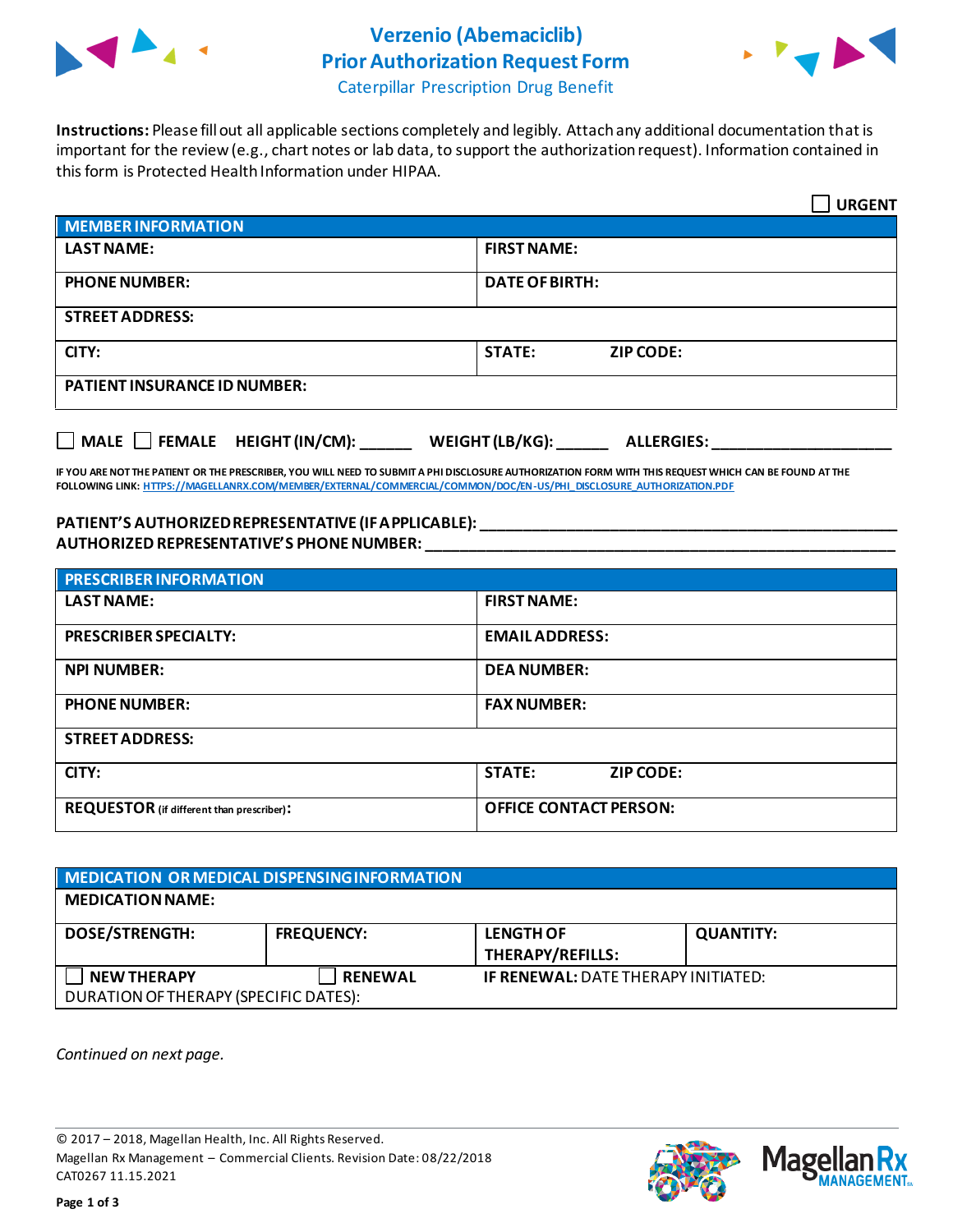

## **Verzenio (Abemaciclib) Prior Authorization Request Form**



Caterpillar Prescription Drug Benefit

**Instructions:** Please fill out all applicable sections completely and legibly. Attach any additional documentation that is important for the review (e.g., chart notes or lab data, to support the authorization request). Information contained in this form is Protected Health Information under HIPAA.

|                                           | <b>URGENT</b>                        |  |  |  |
|-------------------------------------------|--------------------------------------|--|--|--|
| <b>MEMBER INFORMATION</b>                 |                                      |  |  |  |
| <b>LAST NAME:</b>                         | <b>FIRST NAME:</b>                   |  |  |  |
| <b>PHONE NUMBER:</b>                      | <b>DATE OF BIRTH:</b>                |  |  |  |
| <b>STREET ADDRESS:</b>                    |                                      |  |  |  |
| CITY:                                     | <b>STATE:</b><br><b>ZIP CODE:</b>    |  |  |  |
| <b>PATIENT INSURANCE ID NUMBER:</b>       |                                      |  |  |  |
| $\Box$ MALE $\Box$ FEMALE HEIGHT (IN/CM): | WEIGHT (LB/KG):<br><b>ALLERGIES:</b> |  |  |  |

**IF YOU ARE NOT THE PATIENT OR THE PRESCRIBER, YOU WILL NEED TO SUBMIT A PHI DISCLOSURE AUTHORIZATION FORM WITH THIS REQUEST WHICH CAN BE FOUND AT THE FOLLOWING LINK[: HTTPS://MAGELLANRX.COM/MEMBER/EXTERNAL/COMMERCIAL/COMMON/DOC/EN-US/PHI\\_DISCLOSURE\\_AUTHORIZATION.PDF](https://magellanrx.com/member/external/commercial/common/doc/en-us/PHI_Disclosure_Authorization.pdf)**

**PATIENT'S AUTHORIZED REPRESENTATIVE (IF APPLICABLE): \_\_\_\_\_\_\_\_\_\_\_\_\_\_\_\_\_\_\_\_\_\_\_\_\_\_\_\_\_\_\_\_\_\_\_\_\_\_\_\_\_\_\_\_\_\_\_\_\_ AUTHORIZED REPRESENTATIVE'S PHONE NUMBER: \_\_\_\_\_\_\_\_\_\_\_\_\_\_\_\_\_\_\_\_\_\_\_\_\_\_\_\_\_\_\_\_\_\_\_\_\_\_\_\_\_\_\_\_\_\_\_\_\_\_\_\_\_\_\_**

| <b>PRESCRIBER INFORMATION</b>             |                                   |  |  |  |
|-------------------------------------------|-----------------------------------|--|--|--|
| <b>LAST NAME:</b>                         | <b>FIRST NAME:</b>                |  |  |  |
| <b>PRESCRIBER SPECIALTY:</b>              | <b>EMAILADDRESS:</b>              |  |  |  |
| <b>NPI NUMBER:</b>                        | <b>DEA NUMBER:</b>                |  |  |  |
| <b>PHONE NUMBER:</b>                      | <b>FAX NUMBER:</b>                |  |  |  |
| <b>STREET ADDRESS:</b>                    |                                   |  |  |  |
| CITY:                                     | <b>STATE:</b><br><b>ZIP CODE:</b> |  |  |  |
| REQUESTOR (if different than prescriber): | <b>OFFICE CONTACT PERSON:</b>     |  |  |  |

| <b>MEDICATION OR MEDICAL DISPENSING INFORMATION</b>         |                   |                                             |                  |  |  |
|-------------------------------------------------------------|-------------------|---------------------------------------------|------------------|--|--|
| <b>MEDICATION NAME:</b>                                     |                   |                                             |                  |  |  |
| <b>DOSE/STRENGTH:</b>                                       | <b>FREQUENCY:</b> | <b>LENGTH OF</b><br><b>THERAPY/REFILLS:</b> | <b>QUANTITY:</b> |  |  |
| <b>NEW THERAPY</b><br>DURATION OF THERAPY (SPECIFIC DATES): | <b>RENEWAL</b>    | <b>IF RENEWAL: DATE THERAPY INITIATED:</b>  |                  |  |  |

*Continued on next page.*

© 2017 – 2018, Magellan Health, Inc. All Rights Reserved. Magellan Rx Management – Commercial Clients. Revision Date: 08/22/2018 CAT0267 11.15.2021

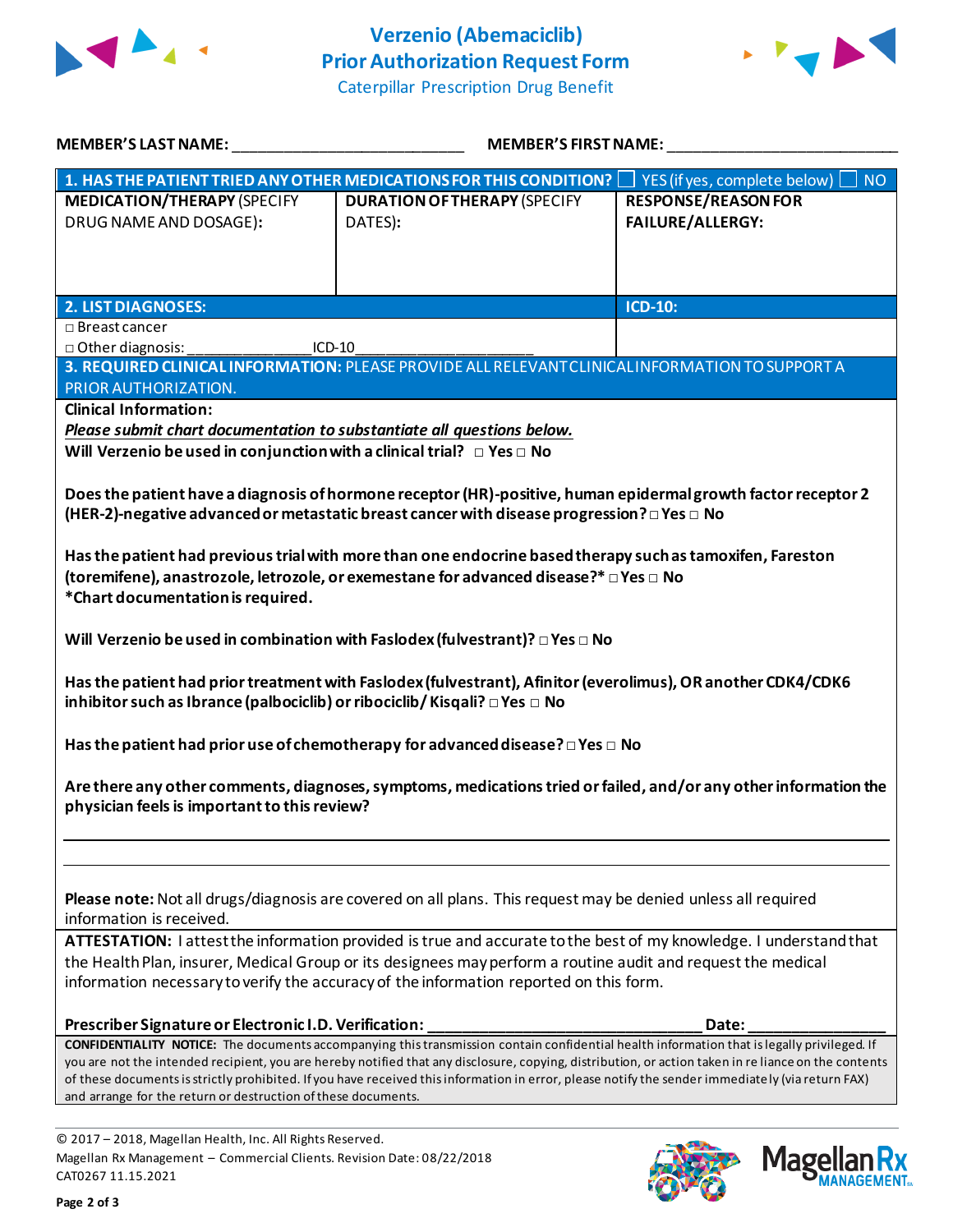



| <b>MEMBER'S LAST NAME:</b>                                                                                                                                                                                                                                                                                 | <b>MEMBER'S FIRST NAME:</b>                                                                                   |                                                       |  |  |  |
|------------------------------------------------------------------------------------------------------------------------------------------------------------------------------------------------------------------------------------------------------------------------------------------------------------|---------------------------------------------------------------------------------------------------------------|-------------------------------------------------------|--|--|--|
|                                                                                                                                                                                                                                                                                                            | 1. HAS THE PATIENT TRIED ANY OTHER MEDICATIONS FOR THIS CONDITION?                                            | <b>NO</b><br>YES (if yes, complete below) [           |  |  |  |
| <b>MEDICATION/THERAPY (SPECIFY</b><br>DRUG NAME AND DOSAGE):                                                                                                                                                                                                                                               | <b>DURATION OF THERAPY (SPECIFY</b><br>DATES):                                                                | <b>RESPONSE/REASON FOR</b><br><b>FAILURE/ALLERGY:</b> |  |  |  |
|                                                                                                                                                                                                                                                                                                            |                                                                                                               |                                                       |  |  |  |
|                                                                                                                                                                                                                                                                                                            |                                                                                                               |                                                       |  |  |  |
| <b>2. LIST DIAGNOSES:</b>                                                                                                                                                                                                                                                                                  |                                                                                                               | <b>ICD-10:</b>                                        |  |  |  |
| $\square$ Breast cancer                                                                                                                                                                                                                                                                                    |                                                                                                               |                                                       |  |  |  |
| □ Other diagnosis:                                                                                                                                                                                                                                                                                         | ICD-10                                                                                                        |                                                       |  |  |  |
|                                                                                                                                                                                                                                                                                                            | 3. REQUIRED CLINICAL INFORMATION: PLEASE PROVIDE ALL RELEVANT CLINICAL INFORMATION TO SUPPORT A               |                                                       |  |  |  |
| PRIOR AUTHORIZATION.                                                                                                                                                                                                                                                                                       |                                                                                                               |                                                       |  |  |  |
| <b>Clinical Information:</b>                                                                                                                                                                                                                                                                               |                                                                                                               |                                                       |  |  |  |
| Please submit chart documentation to substantiate all questions below.                                                                                                                                                                                                                                     |                                                                                                               |                                                       |  |  |  |
| Will Verzenio be used in conjunction with a clinical trial? $\Box$ Yes $\Box$ No                                                                                                                                                                                                                           |                                                                                                               |                                                       |  |  |  |
|                                                                                                                                                                                                                                                                                                            | Does the patient have a diagnosis of hormone receptor (HR)-positive, human epidermal growth factor receptor 2 |                                                       |  |  |  |
|                                                                                                                                                                                                                                                                                                            | (HER-2)-negative advanced or metastatic breast cancer with disease progression? $\Box$ Yes $\Box$ No          |                                                       |  |  |  |
|                                                                                                                                                                                                                                                                                                            |                                                                                                               |                                                       |  |  |  |
|                                                                                                                                                                                                                                                                                                            | Has the patient had previous trial with more than one endocrine based therapy such as tamoxifen, Fareston     |                                                       |  |  |  |
|                                                                                                                                                                                                                                                                                                            | (toremifene), anastrozole, letrozole, or exemestane for advanced disease?* □ Yes □ No                         |                                                       |  |  |  |
| *Chart documentation is required.                                                                                                                                                                                                                                                                          |                                                                                                               |                                                       |  |  |  |
|                                                                                                                                                                                                                                                                                                            |                                                                                                               |                                                       |  |  |  |
|                                                                                                                                                                                                                                                                                                            | Will Verzenio be used in combination with Faslodex (fulvestrant)? $\square$ Yes $\square$ No                  |                                                       |  |  |  |
|                                                                                                                                                                                                                                                                                                            |                                                                                                               |                                                       |  |  |  |
|                                                                                                                                                                                                                                                                                                            | Has the patient had prior treatment with Faslodex (fulvestrant), Afinitor (everolimus), OR another CDK4/CDK6  |                                                       |  |  |  |
| inhibitor such as Ibrance (palbociclib) or ribociclib/ Kisqali? □ Yes □ No                                                                                                                                                                                                                                 |                                                                                                               |                                                       |  |  |  |
|                                                                                                                                                                                                                                                                                                            | Has the patient had prior use of chemotherapy for advanced disease? $\square$ Yes $\square$ No                |                                                       |  |  |  |
|                                                                                                                                                                                                                                                                                                            |                                                                                                               |                                                       |  |  |  |
| Are there any other comments, diagnoses, symptoms, medications tried or failed, and/or any other information the                                                                                                                                                                                           |                                                                                                               |                                                       |  |  |  |
| physician feels is important to this review?                                                                                                                                                                                                                                                               |                                                                                                               |                                                       |  |  |  |
|                                                                                                                                                                                                                                                                                                            |                                                                                                               |                                                       |  |  |  |
|                                                                                                                                                                                                                                                                                                            |                                                                                                               |                                                       |  |  |  |
|                                                                                                                                                                                                                                                                                                            | Please note: Not all drugs/diagnosis are covered on all plans. This request may be denied unless all required |                                                       |  |  |  |
| information is received.                                                                                                                                                                                                                                                                                   |                                                                                                               |                                                       |  |  |  |
| ATTESTATION: I attest the information provided is true and accurate to the best of my knowledge. I understand that                                                                                                                                                                                         |                                                                                                               |                                                       |  |  |  |
| the Health Plan, insurer, Medical Group or its designees may perform a routine audit and request the medical                                                                                                                                                                                               |                                                                                                               |                                                       |  |  |  |
| information necessary to verify the accuracy of the information reported on this form.                                                                                                                                                                                                                     |                                                                                                               |                                                       |  |  |  |
| Prescriber Signature or Electronic I.D. Verification:                                                                                                                                                                                                                                                      |                                                                                                               | Date:                                                 |  |  |  |
|                                                                                                                                                                                                                                                                                                            |                                                                                                               |                                                       |  |  |  |
| <b>CONFIDENTIALITY NOTICE:</b> The documents accompanying this transmission contain confidential health information that is legally privileged. If<br>you are not the intended recipient, you are hereby notified that any disclosure, copying, distribution, or action taken in re liance on the contents |                                                                                                               |                                                       |  |  |  |
| of these documents is strictly prohibited. If you have received this information in error, please notify the sender immediately (via return FAX)                                                                                                                                                           |                                                                                                               |                                                       |  |  |  |
| and arrange for the return or destruction of these documents.                                                                                                                                                                                                                                              |                                                                                                               |                                                       |  |  |  |
|                                                                                                                                                                                                                                                                                                            |                                                                                                               |                                                       |  |  |  |
| © 2017 - 2018 Magellan Health Inc. All Rights Reserved                                                                                                                                                                                                                                                     |                                                                                                               |                                                       |  |  |  |

© 2017 – 2018, Magellan Health, Inc. All Rights Reserved. Magellan Rx Management – Commercial Clients. Revision Date: 08/22/2018 CAT0267 11.15.2021